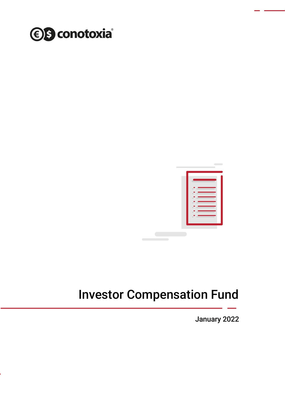



# Investor Compensation Fund

January 2022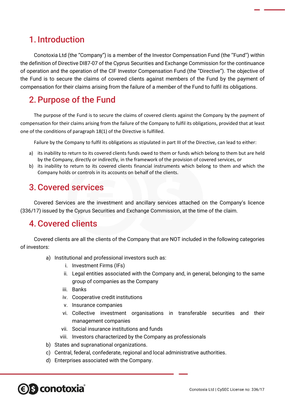### 1. Introduction

Conotoxia Ltd (the "Company") is a member of the Investor Compensation Fund (the ''Fund'') within the definition of Directive DI87-07 of the Cyprus Securities and Exchange Commission for the continuance of operation and the operation of the CIF Investor Compensation Fund (the "Directive"). The objective of the Fund is to secure the claims of covered clients against members of the Fund by the payment of compensation for their claims arising from the failure of a member of the Fund to fulfil its obligations.

### 2.Purpose of the Fund

The purpose of the Fund is to secure the claims of covered clients against the Company by the payment of compensation for their claims arising from the failure of the Company to fulfil its obligations, provided that at least one of the conditions of paragraph 18(1) of the Directive is fulfilled.

Failure by the Company to fulfil its obligations as stipulated in part III of the Directive, can lead to either:

- a) its inability to return to its covered clients funds owed to them or funds which belong to them but are held by the Company, directly or indirectly, in the framework of the provision of covered services, or
- b) its inability to return to its covered clients financial instruments which belong to them and which the Company holds or controls in its accounts on behalf of the clients.

### 3.Covered services

Covered Services are the investment and ancillary services attached on the Company's licence (336/17) issued by the Cyprus Securities and Exchange Commission, at the time of the claim.

#### 4.Covered clients

Covered clients are all the clients of the Company that are NOT included in the following categories of investors:

- a) Institutional and professional investors such as:
	- i. Investment Firms (IFs)
	- ii. Legal entities associated with the Company and, in general, belonging to the same group of companies as the Company
	- iii. Banks
	- iv. Cooperative credit institutions
	- v. Insurance companies
	- vi. Collective investment organisations in transferable securities and their management companies
	- vii. Social insurance institutions and funds
	- viii. Investors characterized by the Company as professionals
- b) States and supranational organizations.
- c) Central, federal, confederate, regional and local administrative authorities.
- d) Enterprises associated with the Company.

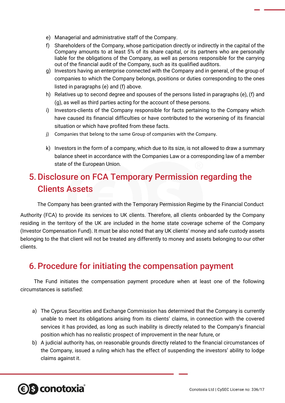- e) Managerial and administrative staff of the Company.
- f) Shareholders of the Company, whose participation directly or indirectly in the capital of the Company amounts to at least 5% of its share capital, or its partners who are personally liable for the obligations of the Company, as well as persons responsible for the carrying out of the financial audit of the Company, such as its qualified auditors.
- g) Investors having an enterprise connected with the Company and in general, of the group of companies to which the Company belongs, positions or duties corresponding to the ones listed in paragraphs (e) and (f) above.
- h) Relatives up to second degree and spouses of the persons listed in paragraphs (e), (f) and (g), as well as third parties acting for the account of these persons.
- i) Investors-clients of the Company responsible for facts pertaining to the Company which have caused its financial difficulties or have contributed to the worsening of its financial situation or which have profited from these facts.
- j) Companies that belong to the same Group of companies with the Company.
- k) Investors in the form of a company, which due to its size, is not allowed to draw a summary balance sheet in accordance with the Companies Law or a corresponding law of a member state of the European Union.

## 5.Disclosure on FCA Temporary Permission regarding the Clients Assets

The Company has been granted with the Temporary Permission Regime by the Financial Conduct

Authority (FCA) to provide its services to UK clients. Therefore, all clients onboarded by the Company residing in the territory of the UK are included in the home state coverage scheme of the Company (Investor Compensation Fund). It must be also noted that any UK clients' money and safe custody assets belonging to the that client will not be treated any differently to money and assets belonging to our other clients.

### 6.Procedure for initiating the compensation payment

The Fund initiates the compensation payment procedure when at least one of the following circumstances is satisfied:

- a) The Cyprus Securities and Exchange Commission has determined that the Company is currently unable to meet its obligations arising from its clients' claims, in connection with the covered services it has provided, as long as such inability is directly related to the Company's financial position which has no realistic prospect of improvement in the near future, or
- b) A judicial authority has, on reasonable grounds directly related to the financial circumstances of the Company, issued a ruling which has the effect of suspending the investors' ability to lodge claims against it.

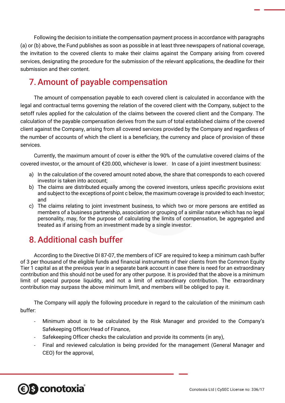Following the decision to initiate the compensation payment process in accordance with paragraphs (a) or (b) above, the Fund publishes as soon as possible in at least three newspapers of national coverage, the invitation to the covered clients to make their claims against the Company arising from covered services, designating the procedure for the submission of the relevant applications, the deadline for their submission and their content.

### 7.Amount of payable compensation

The amount of compensation payable to each covered client is calculated in accordance with the legal and contractual terms governing the relation of the covered client with the Company, subject to the setoff rules applied for the calculation of the claims between the covered client and the Company. The calculation of the payable compensation derives from the sum of total established claims of the covered client against the Company, arising from all covered services provided by the Company and regardless of the number of accounts of which the client is a beneficiary, the currency and place of provision of these services.

Currently, the maximum amount of cover is either the 90% of the cumulative covered claims of the covered investor, or the amount of €20.000, whichever is lower. In case of a joint investment business:

- a) In the calculation of the covered amount noted above, the share that corresponds to each covered investor is taken into account;
- b) The claims are distributed equally among the covered investors, unless specific provisions exist and subject to the exceptions of point c below, the maximum coverage is provided to each Investor; and
- c) The claims relating to joint investment business, to which two or more persons are entitled as members of a business partnership, association or grouping of a similar nature which has no legal personality, may, for the purpose of calculating the limits of compensation, be aggregated and treated as if arising from an investment made by a single investor.

### 8.Additional cash buffer

According to the Directive DI 87-07, the members of ICF are required to keep a minimum cash buffer of 3 per thousand of the eligible funds and financial instruments of their clients from the Common Equity Tier 1 capital as at the previous year in a separate bank account in case there is need for an extraordinary contribution and this should not be used for any other purpose. It is provided that the above is a minimum limit of special purpose liquidity, and not a limit of extraordinary contribution. The extraordinary contribution may surpass the above minimum limit, and members will be obliged to pay it.

The Company will apply the following procedure in regard to the calculation of the minimum cash buffer:

- Minimum about is to be calculated by the Risk Manager and provided to the Company's Safekeeping Officer/Head of Finance,
- Safekeeping Officer checks the calculation and provide its comments (in any),
- Final and reviewed calculation is being provided for the management (General Manager and CEO) for the approval,

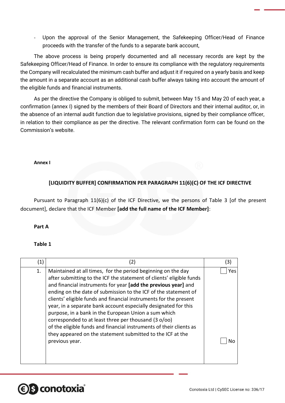- Upon the approval of the Senior Management, the Safekeeping Officer/Head of Finance proceeds with the transfer of the funds to a separate bank account,

The above process is being properly documented and all necessary records are kept by the Safekeeping Officer/Head of Finance. In order to ensure its compliance with the regulatory requirements the Company will recalculated the minimum cash buffer and adjust it if required on a yearly basis and keep the amount in a separate account as an additional cash buffer always taking into account the amount of the eligible funds and financial instruments.

As per the directive the Company is obliged to submit, between May 15 and May 20 of each year, a confirmation (annex I) signed by the members of their Board of Directors and their internal auditor, or, in the absence of an internal audit function due to legislative provisions, signed by their compliance officer, in relation to their compliance as per the directive. The relevant confirmation form can be found on the Commission's website.

#### **Annex I**

#### **[LIQUIDITY BUFFER] CONFIRMATION PER PARAGRAPH 11(6)(C) OF THE ICF DIRECTIVE**

Pursuant to Paragraph 11(6)(c) of the ICF Directive, we the persons of Table 3 [of the present document], declare that the ICF Member **[add the full name of the ICF Member]**:

#### **Part Α**

#### **Table 1**

**e** s conotoxia

| $\left( 1\right)$ | (2)                                                                                                                                                                                                                                                                                                                                                                                                                                                                                                                                                                                                                                                                                      | (3)       |
|-------------------|------------------------------------------------------------------------------------------------------------------------------------------------------------------------------------------------------------------------------------------------------------------------------------------------------------------------------------------------------------------------------------------------------------------------------------------------------------------------------------------------------------------------------------------------------------------------------------------------------------------------------------------------------------------------------------------|-----------|
| 1.                | Maintained at all times, for the period beginning on the day<br>after submitting to the ICF the statement of clients' eligible funds<br>and financial instruments for year [add the previous year] and<br>ending on the date of submission to the ICF of the statement of<br>clients' eligible funds and financial instruments for the present<br>year, in a separate bank account especially designated for this<br>purpose, in a bank in the European Union a sum which<br>corresponded to at least three per thousand (3 o/oo)<br>of the eligible funds and financial instruments of their clients as<br>they appeared on the statement submitted to the ICF at the<br>previous year. | Yes<br>N٥ |

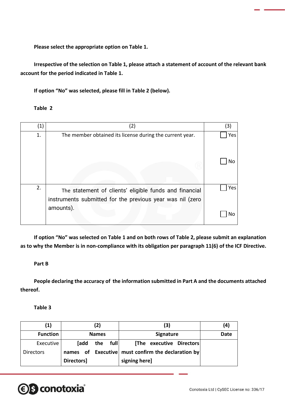**Please select the appropriate option on Table 1.**

**Irrespective of the selection on Table 1, please attach a statement of account of the relevant bank account for the period indicated in Table 1.**

**If option "No" was selected, please fill in Table 2 (below).**

#### **Table 2**

| (1) | (2)                                                                                                                 | (3) |
|-----|---------------------------------------------------------------------------------------------------------------------|-----|
| 1.  | The member obtained its license during the current year.                                                            | Yes |
|     |                                                                                                                     | No  |
| 2.  | The statement of clients' eligible funds and financial<br>instruments submitted for the previous year was nil (zero | Yes |
|     | amounts).                                                                                                           | No  |

**If option "No" was selected on Table 1 and on both rows of Table 2, please submit an explanation as to why the Member is in non-compliance with its obligation per paragraph 11(6) of the ICF Directive.**

#### **Part Β**

**People declaring the accuracy of the information submitted in Part A and the documents attached thereof.**

**Table 3**

| (1)              | (2)          |          | (3)                                          | (4)  |
|------------------|--------------|----------|----------------------------------------------|------|
| <b>Function</b>  | <b>Names</b> |          | <b>Signature</b>                             | Date |
| Executive        | [add         | the full | [The executive Directors]                    |      |
| <b>Directors</b> | names        |          | of Executive must confirm the declaration by |      |
|                  | Directors]   |          | signing here]                                |      |

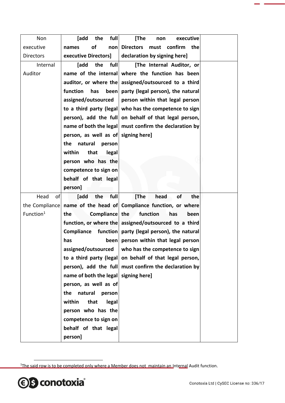| Non                   | [add<br>full<br>the      | [The<br>executive<br>non                              |
|-----------------------|--------------------------|-------------------------------------------------------|
| executive             | of<br>non<br>names       | <b>Directors</b><br>must<br>confirm<br>the            |
| <b>Directors</b>      | executive Directors]     | declaration by signing here]                          |
| Internal              | the<br>full<br>[add      | [The Internal Auditor, or                             |
| Auditor               | name of the internal     | where the function has been                           |
|                       | auditor, or where the    | assigned/outsourced to a third                        |
|                       | function<br>has<br>been  | party (legal person), the natural                     |
|                       | assigned/outsourced      | person within that legal person                       |
|                       | to a third party (legal) | who has the competence to sign                        |
|                       | person), add the full    | on behalf of that legal person,                       |
|                       | name of both the legal   | must confirm the declaration by                       |
|                       | person, as well as of    | signing here]                                         |
|                       | the<br>natural<br>person |                                                       |
|                       | within<br>that<br>legal  |                                                       |
|                       | person who has the       |                                                       |
|                       | competence to sign on    |                                                       |
|                       | behalf of that legal     |                                                       |
|                       | person]                  |                                                       |
| Head<br>of            | full<br>[add<br>the      | [The<br>of<br>head<br>the                             |
| the Compliance        |                          | name of the head of Compliance function, or where     |
| Function <sup>1</sup> | Compliance the<br>the    | function<br>has<br>been                               |
|                       |                          | function, or where the assigned/outsourced to a third |
|                       | Compliance               | function party (legal person), the natural            |
|                       | has                      | been person within that legal person                  |
|                       | assigned/outsourced      | who has the competence to sign                        |
|                       | to a third party (legal) | on behalf of that legal person,                       |
|                       | person), add the full    | must confirm the declaration by                       |
|                       | name of both the legal   | signing here]                                         |
|                       | person, as well as of    |                                                       |
|                       | the<br>natural<br>person |                                                       |
|                       | that<br>within<br>legal  |                                                       |
|                       | person who has the       |                                                       |
|                       | competence to sign on    |                                                       |
|                       | behalf of that legal     |                                                       |
|                       | person]                  |                                                       |

<sup>&</sup>lt;sup>1</sup>The said row is to be completed only where a Member does not maintain an Internal Audit function.